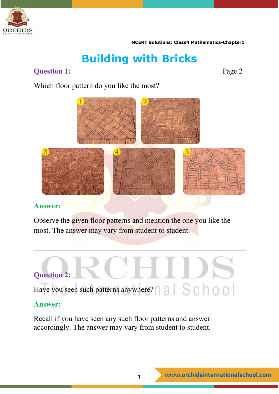

# **Building with Bricks**

# **Question 1:** Page 2

Which floor pattern do you like the most?



# **Answer:**

Observe the given floor patterns and mention the one you like the most. The answer may vary from student to student.



## **Answer:**

Recall if you have seen any such floor patterns and answer accordingly. The answer may vary from student to student.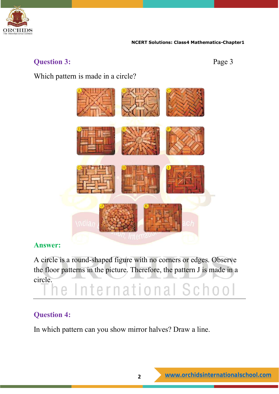

# **Question 3:** Page 3

Which pattern is made in a circle?



# **Answer:**

A circle is a round-shaped figure with no corners or edges. Observe the floor patterns in the picture. Therefore, the pattern J is made in a

# circle. The International School

# **Question 4:**

In which pattern can you show mirror halves? Draw a line.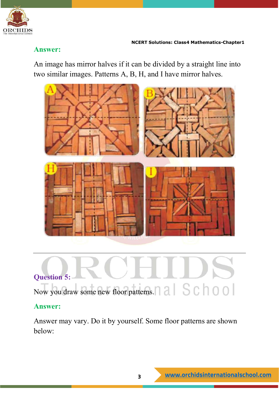

# **Answer:**

An image has mirror halves if it can be divided by a straight line into two similar images. Patterns A, B, H, and I have mirror halves.



# **Question 5:**  Now you draw some new floor patterns.

# **Answer:**

Answer may vary. Do it by yourself. Some floor patterns are shown below: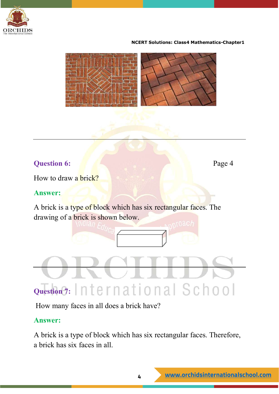



# **Question 6:** Page 4

How to draw a brick?

# **Answer:**

A brick is a type of block which has six rectangular faces. The drawing of a brick is shown below.

# Question 7: International School

How many faces in all does a brick have?

# **Answer:**

A brick is a type of block which has six rectangular faces. Therefore, a brick has six faces in all.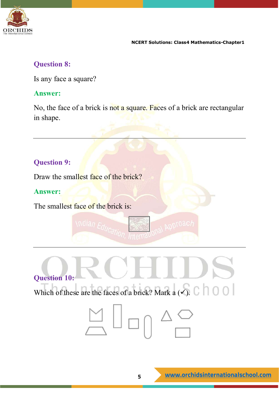

# **Question 8:**

Is any face a square?

# **Answer:**

No, the face of a brick is not a square. Faces of a brick are rectangular in shape.

# **Question 9:**

Draw the smallest face of the brick?

# **Answer:**

The smallest face of the brick is:



tion, *In*ternal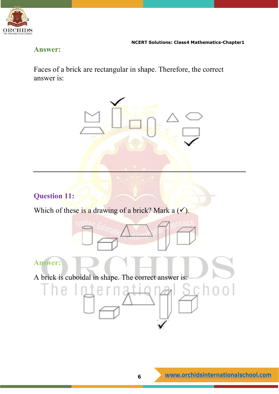

# **Answer:**

Faces of a brick are rectangular in shape. Therefore, the correct answer is:



# **Question 11:**

Which of these is a drawing of a brick? Mark a  $(\checkmark)$ .

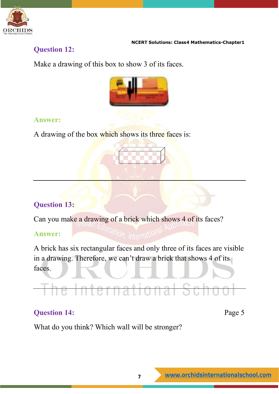

# **Question 12:**

Make a drawing of this box to show 3 of its faces.



# **Answer:**

A drawing of the box which shows its three faces is:



# **Question 13:**

Can you make a drawing of a brick which shows 4 of its faces?

# **Answer:**

A brick has six rectangular faces and only three of its faces are visible in a drawing. Therefore, we can't draw a brick that shows 4 of its faces.

# he Internationa

# **Question 14:** Page 5

What do you think? Which wall will be stronger?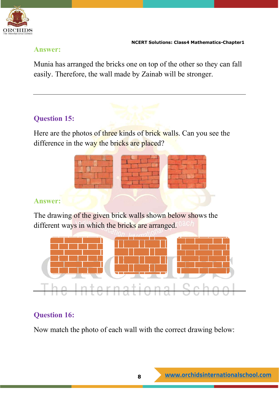

# **Answer:**

Munia has arranged the bricks one on top of the other so they can fall easily. Therefore, the wall made by Zainab will be stronger.

# **Question 15:**

Here are the photos of three kinds of brick walls. Can you see the difference in the way the bricks are placed?



# **Answer:**

The drawing of the given brick walls shown below shows the different ways in which the bricks are arranged.



# **Question 16:**

Now match the photo of each wall with the correct drawing below: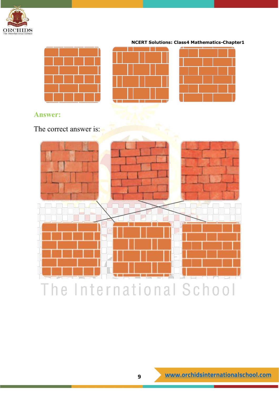







# **Answer:**

The correct answer is:

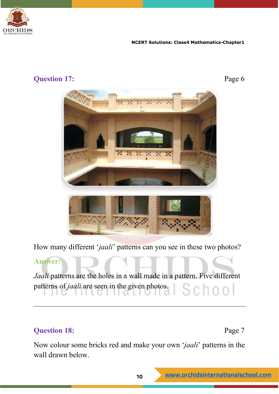

# **Question 17:** Page 6





How many different '*jaali*' patterns can you see in these two photos?

# **Answer:**

*Jaali* patterns are the holes in a wall made in a pattern. Five different patterns of *jaali* are seen in the given photos. School

# **Question 18:** Page 7

Now colour some bricks red and make your own '*jaali*' patterns in the wall drawn below.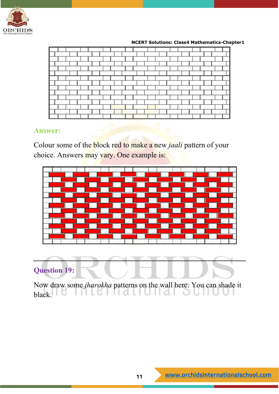

## **Answer:**

Colour some of the block red to make a new *jaali* pattern of your choice. Answers may vary. One example is:



# **Question 19:**

Now draw some *jharokha* patterns on the wall here. You can shade it  $black$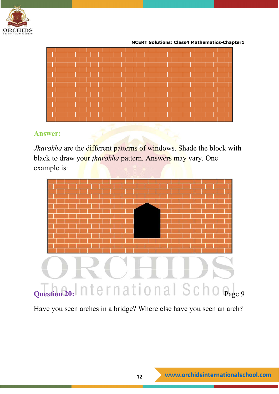



# **Answer:**

*Jharokha* are the different patterns of windows. Shade the block with black to draw your *jharokha* pattern. Answers may vary. One example is:



Have you seen arches in a bridge? Where else have you seen an arch?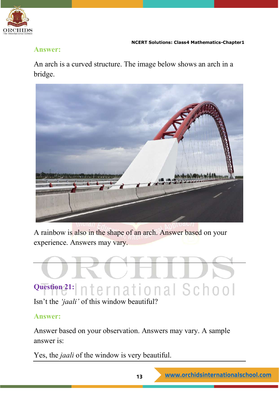

# **Answer:**

An arch is a curved structure. The image below shows an arch in a bridge.



A rainbow is also in the shape of an arch. Answer based on your experience. Answers may vary.



Isn't the *'jaali'* of this window beautiful?

# **Answer:**

Answer based on your observation. Answers may vary. A sample answer is:

Yes, the *jaali* of the window is very beautiful.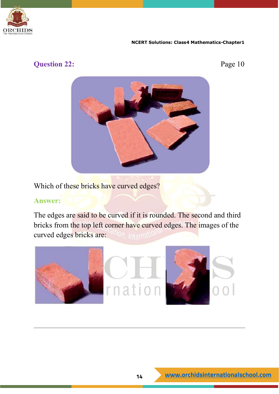

# **Question 22:** Page 10



Which of these bricks have curved edges?

### **Answer:**

The edges are said to be curved if it is rounded. The second and third bricks from the top left corner have curved edges. The images of the curved edges bricks are: *ation*, Internati

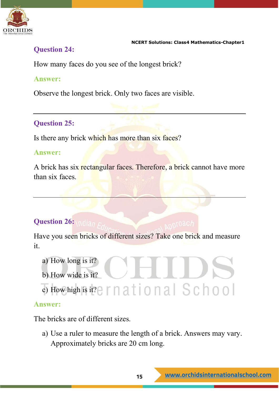

# **Question 24:**

How many faces do you see of the longest brick?

# **Answer:**

Observe the longest brick. Only two faces are visible.

# **Question 25:**

Is there any brick which has more than six faces?

# **Answer:**

A brick has six rectangular faces. Therefore, a brick cannot have more than six faces.

# **Question 26: Andian FM**

Have you seen bricks of different sizes? Take one brick and measure it.

- a) How long is it?
- b) How wide is it?
- c) How high is it? ernational School

# **Answer:**

The bricks are of different sizes.

a) Use a ruler to measure the length of a brick. Answers may vary. Approximately bricks are 20 cm long.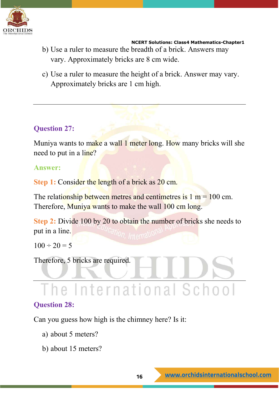

- b) Use a ruler to measure the breadth of a brick. Answers may vary. Approximately bricks are 8 cm wide.
- c) Use a ruler to measure the height of a brick. Answer may vary. Approximately bricks are 1 cm high.

# **Question 27:**

Muniya wants to make a wall 1 meter long. How many bricks will she need to put in a line?

# **Answer:**

**Step 1:** Consider the length of a brick as 20 cm.

The relationship between metres and centimetres is  $1 m = 100 cm$ . Therefore, Muniya wants to make the wall 100 cm long.

**Step 2:** Divide 100 by 20 to obtain the number of bricks she needs to put in a line.

 $100 \div 20 = 5$ 

Therefore, 5 bricks are required.

# The International School

# **Question 28:**

Can you guess how high is the chimney here? Is it:

- a) about 5 meters?
- b) about 15 meters?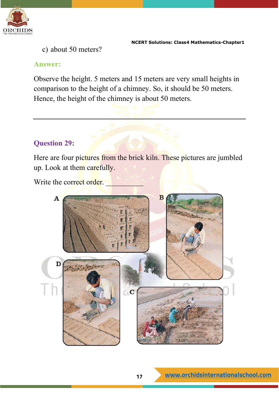

c) about 50 meters?

## **Answer:**

Observe the height. 5 meters and 15 meters are very small heights in comparison to the height of a chimney. So, it should be 50 meters. Hence, the height of the chimney is about 50 meters.

# **Question 29:**

Here are four pictures from the brick kiln. These pictures are jumbled up. Look at them carefully.

Write the correct order.

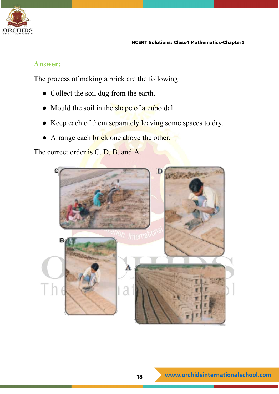

## **Answer:**

The process of making a brick are the following:

- Collect the soil dug from the earth.
- Mould the soil in the shape of a cuboidal.
- Keep each of them separately leaving some spaces to dry.
- Arrange each brick one above the other.

The correct order is C, D, B, and A.

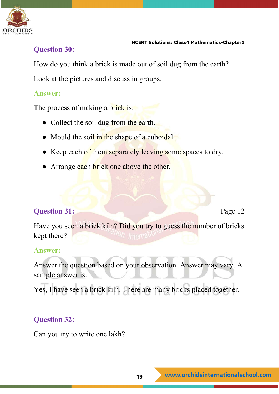

# **Question 30:**

How do you think a brick is made out of soil dug from the earth?

Look at the pictures and discuss in groups.

# **Answer:**

The process of making a brick is:

- Collect the soil dug from the earth.
- Mould the soil in the shape of a cuboidal.
- Keep each of them separately leaving some spaces to dry.
- Arrange each brick one above the other.

# **Question 31:** Page 12

Have you seen a brick kiln? Did you try to guess the number of bricks kept there?

# **Answer:**

Answer the question based on your observation. Answer may vary. A sample answer is:

Yes, I have seen a brick kiln. There are many bricks placed together.

# **Question 32:**

Can you try to write one lakh?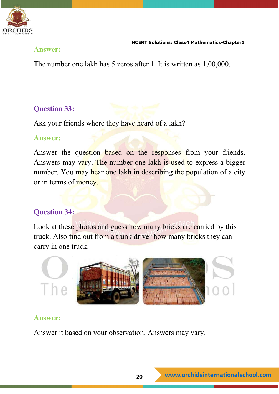

# **Answer:**

The number one lakh has 5 zeros after 1. It is written as 1,00,000.

# **Question 33:**

Ask your friends where they have heard of a lakh?

# **Answer:**

Answer the question based on the responses from your friends. Answers may vary. The number one lakh is used to express a bigger number. You may hear one lakh in describing the population of a city or in terms of money.

# **Question 34:**

Look at these photos and guess how many bricks are carried by this truck. Also find out from a trunk driver how many bricks they can carry in one truck.



# **Answer:**

Answer it based on your observation. Answers may vary.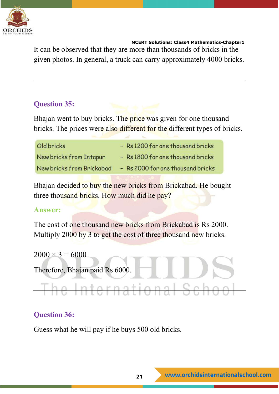

It can be observed that they are more than thousands of bricks in the given photos. In general, a truck can carry approximately 4000 bricks.

# **Question 35:**

Bhajan went to buy bricks. The price was given for one thousand bricks. The prices were also different for the different types of bricks.

| <b>Oldbricks</b>          | - Rs 1200 for one thousand bricks |
|---------------------------|-----------------------------------|
| New bricks from Intapur   | - Rs 1800 for one thousand bricks |
| New bricks from Brickabad | - Rs 2000 for one thousand bricks |

Bhajan decided to buy the new bricks from Brickabad. He bought three thousand bricks. How much did he pay?

# **Answer:**

The cost of one thousand new bricks from Brickabad is Rs 2000. Multiply 2000 by 3 to get the cost of three thousand new bricks.

 $2000 \times 3 = 6000$ Therefore, Bhajan paid Rs 6000. The International Scho

# **Question 36:**

Guess what he will pay if he buys 500 old bricks.